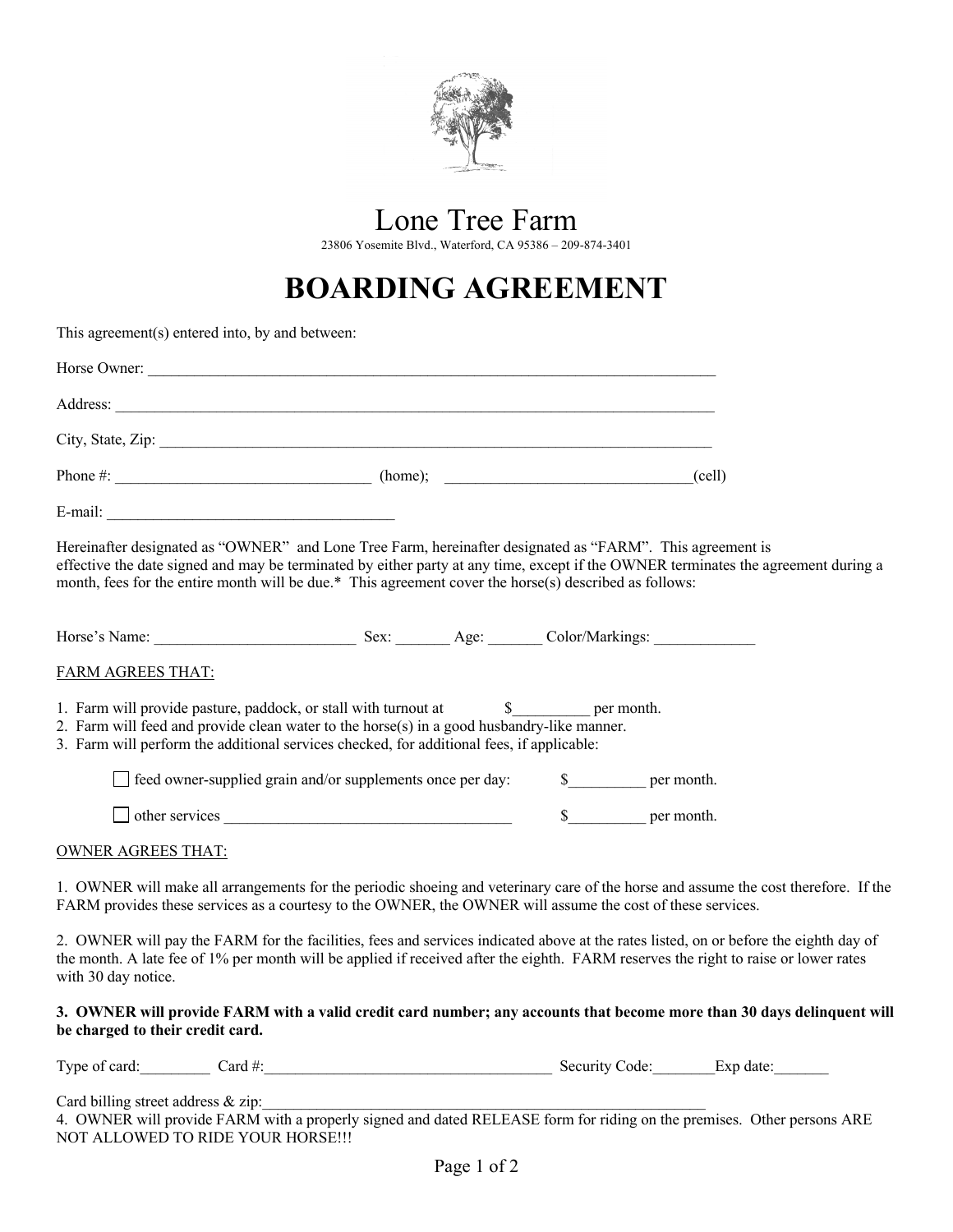

## Lone Tree Farm

23806 Yosemite Blvd., Waterford, CA 95386 – 209-874-3401

## **BOARDING AGREEMENT**

| This agreement(s) entered into, by and between: |                                                                                                                                                                                                                                                                                                                                                           |               |               |  |
|-------------------------------------------------|-----------------------------------------------------------------------------------------------------------------------------------------------------------------------------------------------------------------------------------------------------------------------------------------------------------------------------------------------------------|---------------|---------------|--|
|                                                 |                                                                                                                                                                                                                                                                                                                                                           |               |               |  |
|                                                 |                                                                                                                                                                                                                                                                                                                                                           |               |               |  |
|                                                 |                                                                                                                                                                                                                                                                                                                                                           |               |               |  |
|                                                 | Phone $\#$ : (cell)                                                                                                                                                                                                                                                                                                                                       |               |               |  |
| E-mail: E-mail:                                 |                                                                                                                                                                                                                                                                                                                                                           |               |               |  |
|                                                 | Hereinafter designated as "OWNER" and Lone Tree Farm, hereinafter designated as "FARM". This agreement is<br>effective the date signed and may be terminated by either party at any time, except if the OWNER terminates the agreement during a<br>month, fees for the entire month will be due.* This agreement cover the horse(s) described as follows: |               |               |  |
|                                                 |                                                                                                                                                                                                                                                                                                                                                           |               |               |  |
| FARM AGREES THAT:                               |                                                                                                                                                                                                                                                                                                                                                           |               |               |  |
|                                                 | 1. Farm will provide pasture, paddock, or stall with turnout at<br>2. Farm will feed and provide clean water to the horse(s) in a good husbandry-like manner.<br>3. Farm will perform the additional services checked, for additional fees, if applicable:                                                                                                | \$ per month. |               |  |
|                                                 | $\Box$ feed owner-supplied grain and/or supplements once per day:                                                                                                                                                                                                                                                                                         |               | \$ per month. |  |
|                                                 | $\Box$ other services                                                                                                                                                                                                                                                                                                                                     |               | \$ per month. |  |
| <b>OWNER AGREES THAT:</b>                       |                                                                                                                                                                                                                                                                                                                                                           |               |               |  |
|                                                 | 1. OWNER will make all arrangements for the periodic shoeing and veterinary care of the horse and assume the cost therefore. If the<br>FARM provides these services as a courtesy to the OWNER, the OWNER will assume the cost of these services.                                                                                                         |               |               |  |
| with 30 day notice.                             | 2. OWNER will pay the FARM for the facilities, fees and services indicated above at the rates listed, on or before the eighth day of<br>the month. A late fee of 1% per month will be applied if received after the eighth. FARM reserves the right to raise or lower rates                                                                               |               |               |  |
| be charged to their credit card.                | 3. OWNER will provide FARM with a valid credit card number; any accounts that become more than 30 days delinquent will                                                                                                                                                                                                                                    |               |               |  |
|                                                 | Type of card: Card #: Card #: Card #: Security Code: Exp date:                                                                                                                                                                                                                                                                                            |               |               |  |

Card billing street address & zip:

4. OWNER will provide FARM with a properly signed and dated RELEASE form for riding on the premises. Other persons ARE NOT ALLOWED TO RIDE YOUR HORSE!!!